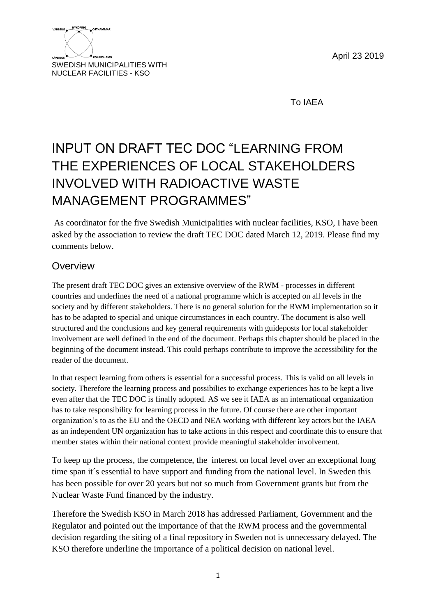

April 23 2019

To IAEA

# INPUT ON DRAFT TEC DOC "LEARNING FROM THE EXPERIENCES OF LOCAL STAKEHOLDERS INVOLVED WITH RADIOACTIVE WASTE MANAGEMENT PROGRAMMES"

As coordinator for the five Swedish Municipalities with nuclear facilities, KSO, I have been asked by the association to review the draft TEC DOC dated March 12, 2019. Please find my comments below.

## **Overview**

The present draft TEC DOC gives an extensive overview of the RWM - processes in different countries and underlines the need of a national programme which is accepted on all levels in the society and by different stakeholders. There is no general solution for the RWM implementation so it has to be adapted to special and unique circumstances in each country. The document is also well structured and the conclusions and key general requirements with guideposts for local stakeholder involvement are well defined in the end of the document. Perhaps this chapter should be placed in the beginning of the document instead. This could perhaps contribute to improve the accessibility for the reader of the document.

In that respect learning from others is essential for a successful process. This is valid on all levels in society. Therefore the learning process and possibilies to exchange experiences has to be kept a live even after that the TEC DOC is finally adopted. AS we see it IAEA as an international organization has to take responsibility for learning process in the future. Of course there are other important organization's to as the EU and the OECD and NEA working with different key actors but the IAEA as an independent UN organization has to take actions in this respect and coordinate this to ensure that member states within their national context provide meaningful stakeholder involvement.

To keep up the process, the competence, the interest on local level over an exceptional long time span it´s essential to have support and funding from the national level. In Sweden this has been possible for over 20 years but not so much from Government grants but from the Nuclear Waste Fund financed by the industry.

Therefore the Swedish KSO in March 2018 has addressed Parliament, Government and the Regulator and pointed out the importance of that the RWM process and the governmental decision regarding the siting of a final repository in Sweden not is unnecessary delayed. The KSO therefore underline the importance of a political decision on national level.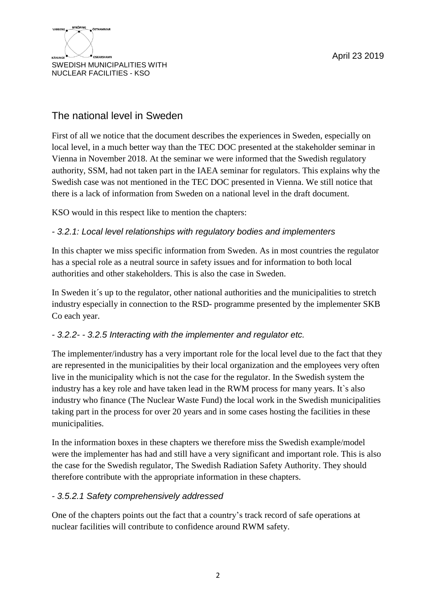# The national level in Sweden

First of all we notice that the document describes the experiences in Sweden, especially on local level, in a much better way than the TEC DOC presented at the stakeholder seminar in Vienna in November 2018. At the seminar we were informed that the Swedish regulatory authority, SSM, had not taken part in the IAEA seminar for regulators. This explains why the Swedish case was not mentioned in the TEC DOC presented in Vienna. We still notice that there is a lack of information from Sweden on a national level in the draft document.

KSO would in this respect like to mention the chapters:

## *- 3.2.1: Local level relationships with regulatory bodies and implementers*

In this chapter we miss specific information from Sweden. As in most countries the regulator has a special role as a neutral source in safety issues and for information to both local authorities and other stakeholders. This is also the case in Sweden.

In Sweden it's up to the regulator, other national authorities and the municipalities to stretch industry especially in connection to the RSD- programme presented by the implementer SKB Co each year.

## *- 3.2.2- - 3.2.5 Interacting with the implementer and regulator etc.*

The implementer/industry has a very important role for the local level due to the fact that they are represented in the municipalities by their local organization and the employees very often live in the municipality which is not the case for the regulator. In the Swedish system the industry has a key role and have taken lead in the RWM process for many years. It`s also industry who finance (The Nuclear Waste Fund) the local work in the Swedish municipalities taking part in the process for over 20 years and in some cases hosting the facilities in these municipalities.

In the information boxes in these chapters we therefore miss the Swedish example/model were the implementer has had and still have a very significant and important role. This is also the case for the Swedish regulator, The Swedish Radiation Safety Authority. They should therefore contribute with the appropriate information in these chapters.

## *- 3.5.2.1 Safety comprehensively addressed*

One of the chapters points out the fact that a country's track record of safe operations at nuclear facilities will contribute to confidence around RWM safety.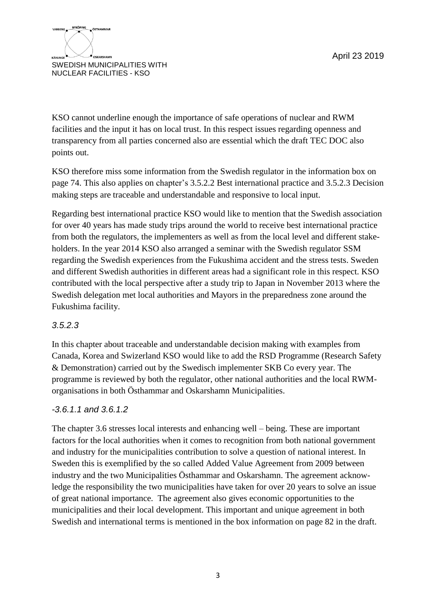

KSO cannot underline enough the importance of safe operations of nuclear and RWM facilities and the input it has on local trust. In this respect issues regarding openness and transparency from all parties concerned also are essential which the draft TEC DOC also points out.

KSO therefore miss some information from the Swedish regulator in the information box on page 74. This also applies on chapter's 3.5.2.2 Best international practice and 3.5.2.3 Decision making steps are traceable and understandable and responsive to local input.

Regarding best international practice KSO would like to mention that the Swedish association for over 40 years has made study trips around the world to receive best international practice from both the regulators, the implementers as well as from the local level and different stakeholders. In the year 2014 KSO also arranged a seminar with the Swedish regulator SSM regarding the Swedish experiences from the Fukushima accident and the stress tests. Sweden and different Swedish authorities in different areas had a significant role in this respect. KSO contributed with the local perspective after a study trip to Japan in November 2013 where the Swedish delegation met local authorities and Mayors in the preparedness zone around the Fukushima facility.

## *3.5.2.3*

In this chapter about traceable and understandable decision making with examples from Canada, Korea and Swizerland KSO would like to add the RSD Programme (Research Safety & Demonstration) carried out by the Swedisch implementer SKB Co every year. The programme is reviewed by both the regulator, other national authorities and the local RWMorganisations in both Östhammar and Oskarshamn Municipalities.

#### *-3.6.1.1 and 3.6.1.2*

The chapter 3.6 stresses local interests and enhancing well – being. These are important factors for the local authorities when it comes to recognition from both national government and industry for the municipalities contribution to solve a question of national interest. In Sweden this is exemplified by the so called Added Value Agreement from 2009 between industry and the two Municipalities Östhammar and Oskarshamn. The agreement acknowledge the responsibility the two municipalities have taken for over 20 years to solve an issue of great national importance. The agreement also gives economic opportunities to the municipalities and their local development. This important and unique agreement in both Swedish and international terms is mentioned in the box information on page 82 in the draft.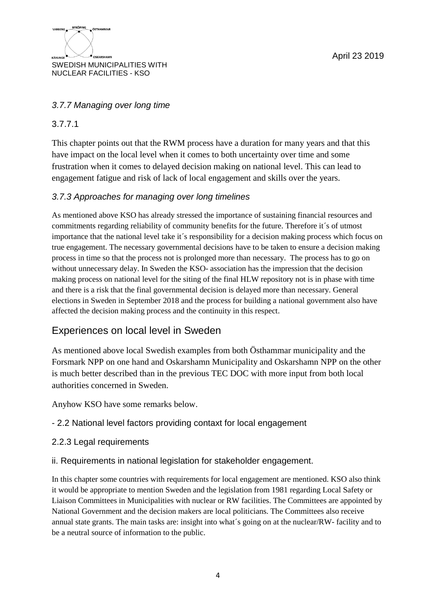

## *3.7.7 Managing over long time*

#### 3.7.7.1

This chapter points out that the RWM process have a duration for many years and that this have impact on the local level when it comes to both uncertainty over time and some frustration when it comes to delayed decision making on national level. This can lead to engagement fatigue and risk of lack of local engagement and skills over the years.

## *3.7.3 Approaches for managing over long timelines*

As mentioned above KSO has already stressed the importance of sustaining financial resources and commitments regarding reliability of community benefits for the future. Therefore it´s of utmost importance that the national level take it´s responsibility for a decision making process which focus on true engagement. The necessary governmental decisions have to be taken to ensure a decision making process in time so that the process not is prolonged more than necessary. The process has to go on without unnecessary delay. In Sweden the KSO- association has the impression that the decision making process on national level for the siting of the final HLW repository not is in phase with time and there is a risk that the final governmental decision is delayed more than necessary. General elections in Sweden in September 2018 and the process for building a national government also have affected the decision making process and the continuity in this respect.

## Experiences on local level in Sweden

As mentioned above local Swedish examples from both Östhammar municipality and the Forsmark NPP on one hand and Oskarshamn Municipality and Oskarshamn NPP on the other is much better described than in the previous TEC DOC with more input from both local authorities concerned in Sweden.

Anyhow KSO have some remarks below.

#### - 2.2 National level factors providing contaxt for local engagement

#### 2.2.3 Legal requirements

#### ii. Requirements in national legislation for stakeholder engagement.

In this chapter some countries with requirements for local engagement are mentioned. KSO also think it would be appropriate to mention Sweden and the legislation from 1981 regarding Local Safety or Liaison Committees in Municipalities with nuclear or RW facilities. The Committees are appointed by National Government and the decision makers are local politicians. The Committees also receive annual state grants. The main tasks are: insight into what´s going on at the nuclear/RW- facility and to be a neutral source of information to the public.